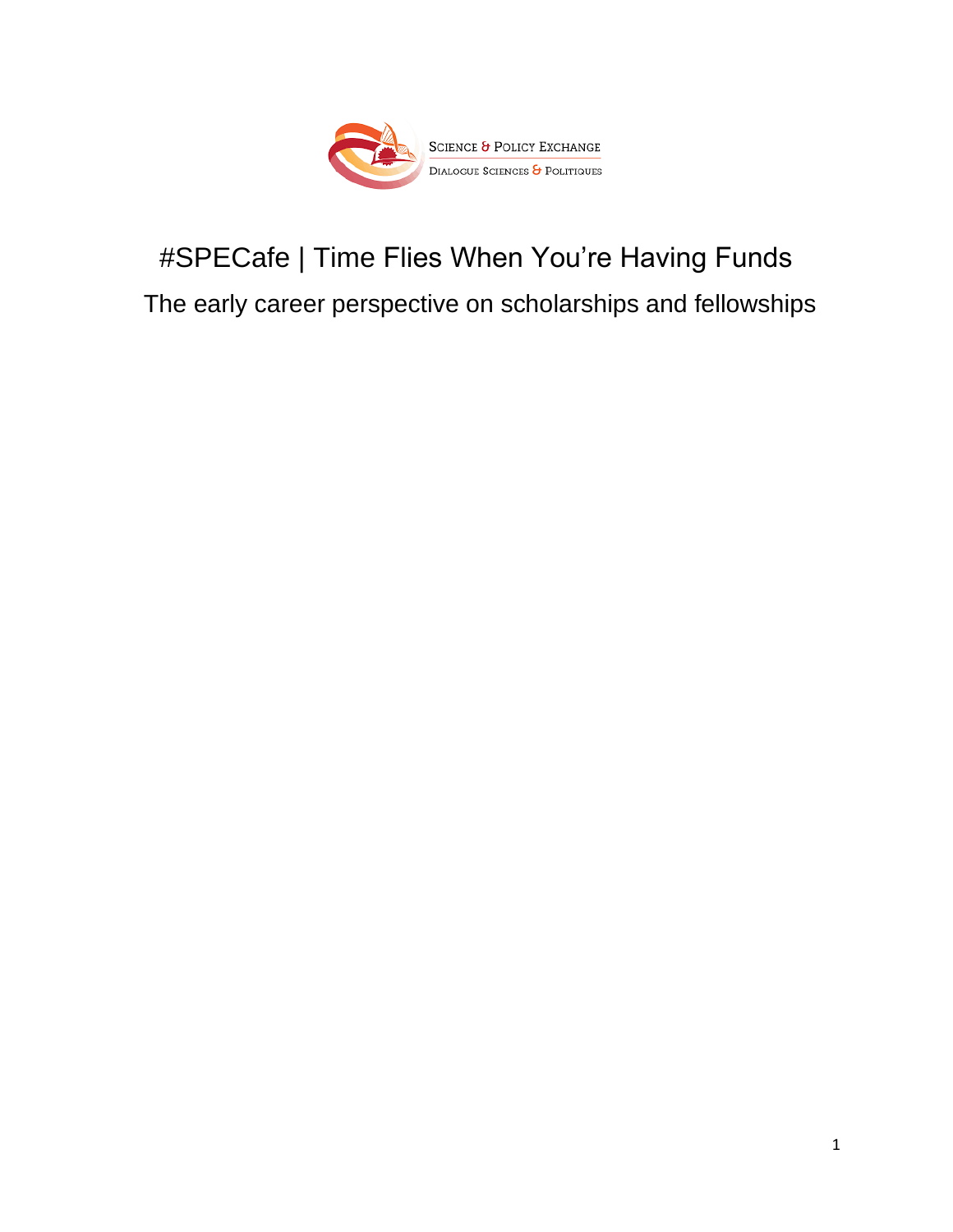

# #SPECafe | Time Flies When You're Having Funds

The early career perspective on scholarships and fellowships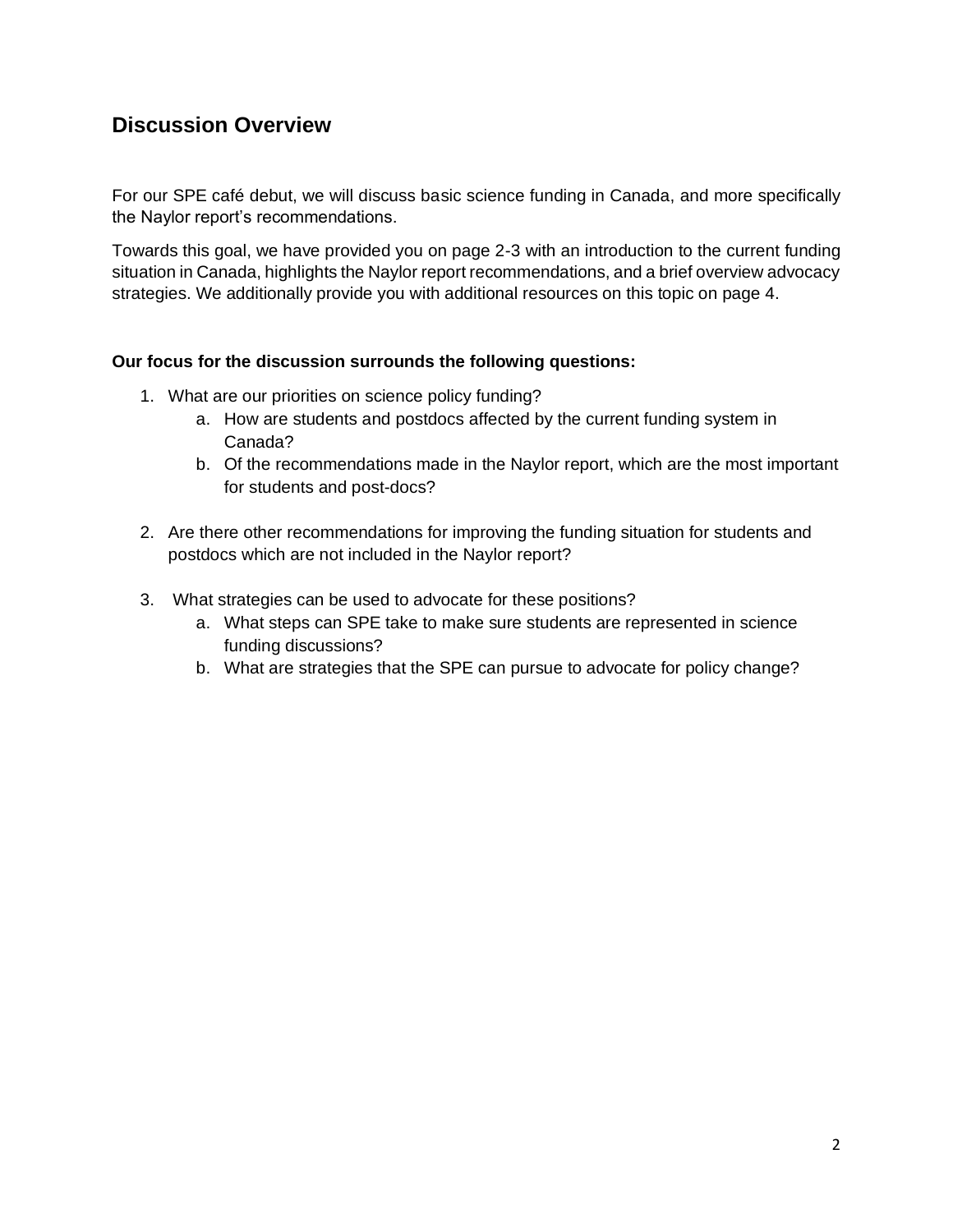# **Discussion Overview**

For our SPE café debut, we will discuss basic science funding in Canada, and more specifically the Naylor report's recommendations.

Towards this goal, we have provided you on page 2-3 with an introduction to the current funding situation in Canada, highlights the Naylor report recommendations, and a brief overview advocacy strategies. We additionally provide you with additional resources on this topic on page 4.

#### **Our focus for the discussion surrounds the following questions:**

- 1. What are our priorities on science policy funding?
	- a. How are students and postdocs affected by the current funding system in Canada?
	- b. Of the recommendations made in the Naylor report, which are the most important for students and post-docs?
- 2. Are there other recommendations for improving the funding situation for students and postdocs which are not included in the Naylor report?
- 3. What strategies can be used to advocate for these positions?
	- a. What steps can SPE take to make sure students are represented in science funding discussions?
	- b. What are strategies that the SPE can pursue to advocate for policy change?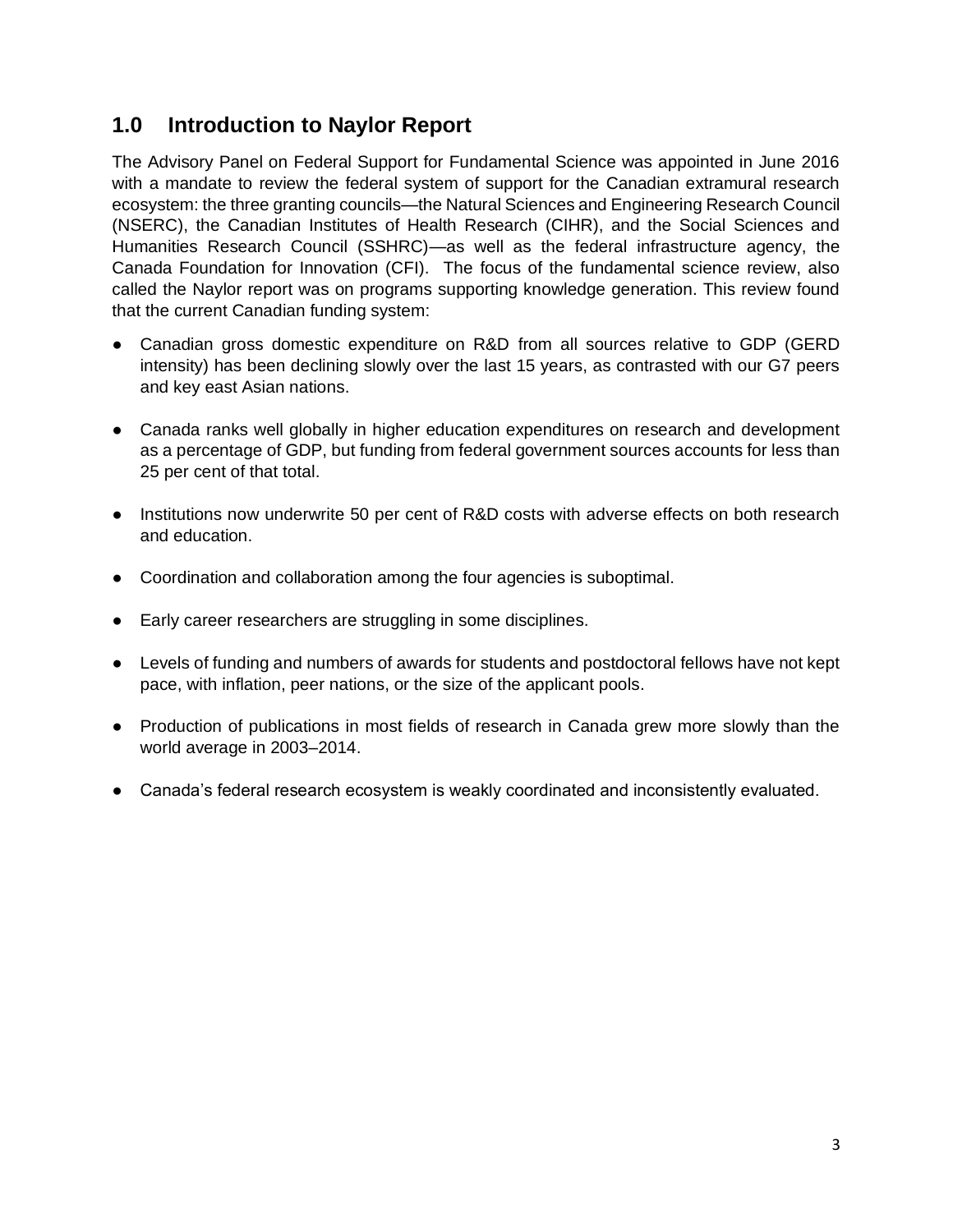# **1.0 Introduction to Naylor Report**

The Advisory Panel on Federal Support for Fundamental Science was appointed in June 2016 with a mandate to review the federal system of support for the Canadian extramural research ecosystem: the three granting councils—the Natural Sciences and Engineering Research Council (NSERC), the Canadian Institutes of Health Research (CIHR), and the Social Sciences and Humanities Research Council (SSHRC)—as well as the federal infrastructure agency, the Canada Foundation for Innovation (CFI). The focus of the fundamental science review, also called the Naylor report was on programs supporting knowledge generation. This review found that the current Canadian funding system:

- Canadian gross domestic expenditure on R&D from all sources relative to GDP (GERD intensity) has been declining slowly over the last 15 years, as contrasted with our G7 peers and key east Asian nations.
- Canada ranks well globally in higher education expenditures on research and development as a percentage of GDP, but funding from federal government sources accounts for less than 25 per cent of that total.
- Institutions now underwrite 50 per cent of R&D costs with adverse effects on both research and education.
- Coordination and collaboration among the four agencies is suboptimal.
- Early career researchers are struggling in some disciplines.
- Levels of funding and numbers of awards for students and postdoctoral fellows have not kept pace, with inflation, peer nations, or the size of the applicant pools.
- Production of publications in most fields of research in Canada grew more slowly than the world average in 2003–2014.
- Canada's federal research ecosystem is weakly coordinated and inconsistently evaluated.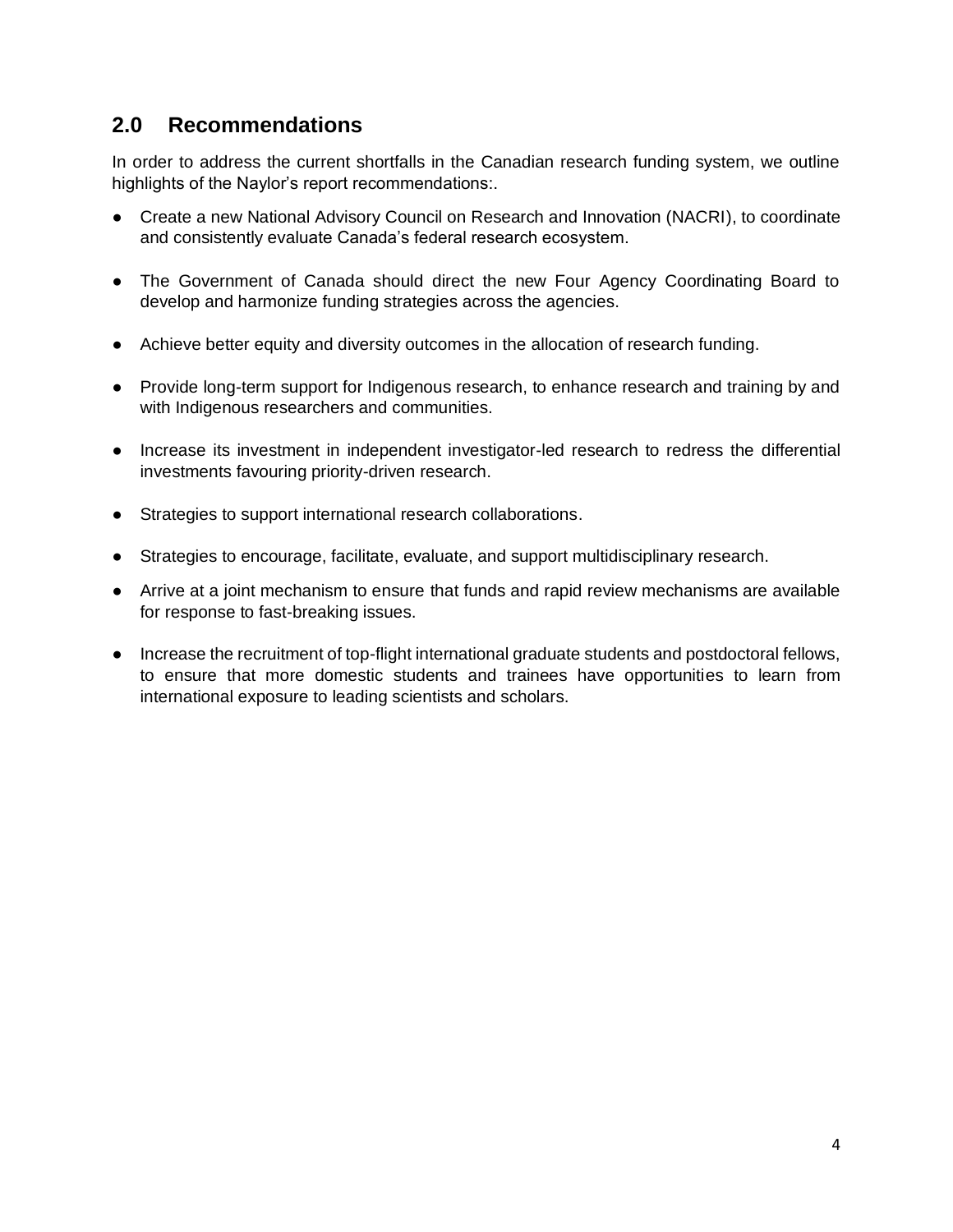# **2.0 Recommendations**

In order to address the current shortfalls in the Canadian research funding system, we outline highlights of the Naylor's report recommendations:.

- Create a new National Advisory Council on Research and Innovation (NACRI), to coordinate and consistently evaluate Canada's federal research ecosystem.
- The Government of Canada should direct the new Four Agency Coordinating Board to develop and harmonize funding strategies across the agencies.
- Achieve better equity and diversity outcomes in the allocation of research funding.
- Provide long-term support for Indigenous research, to enhance research and training by and with Indigenous researchers and communities.
- Increase its investment in independent investigator-led research to redress the differential investments favouring priority-driven research.
- Strategies to support international research collaborations.
- Strategies to encourage, facilitate, evaluate, and support multidisciplinary research.
- Arrive at a joint mechanism to ensure that funds and rapid review mechanisms are available for response to fast-breaking issues.
- Increase the recruitment of top-flight international graduate students and postdoctoral fellows, to ensure that more domestic students and trainees have opportunities to learn from international exposure to leading scientists and scholars.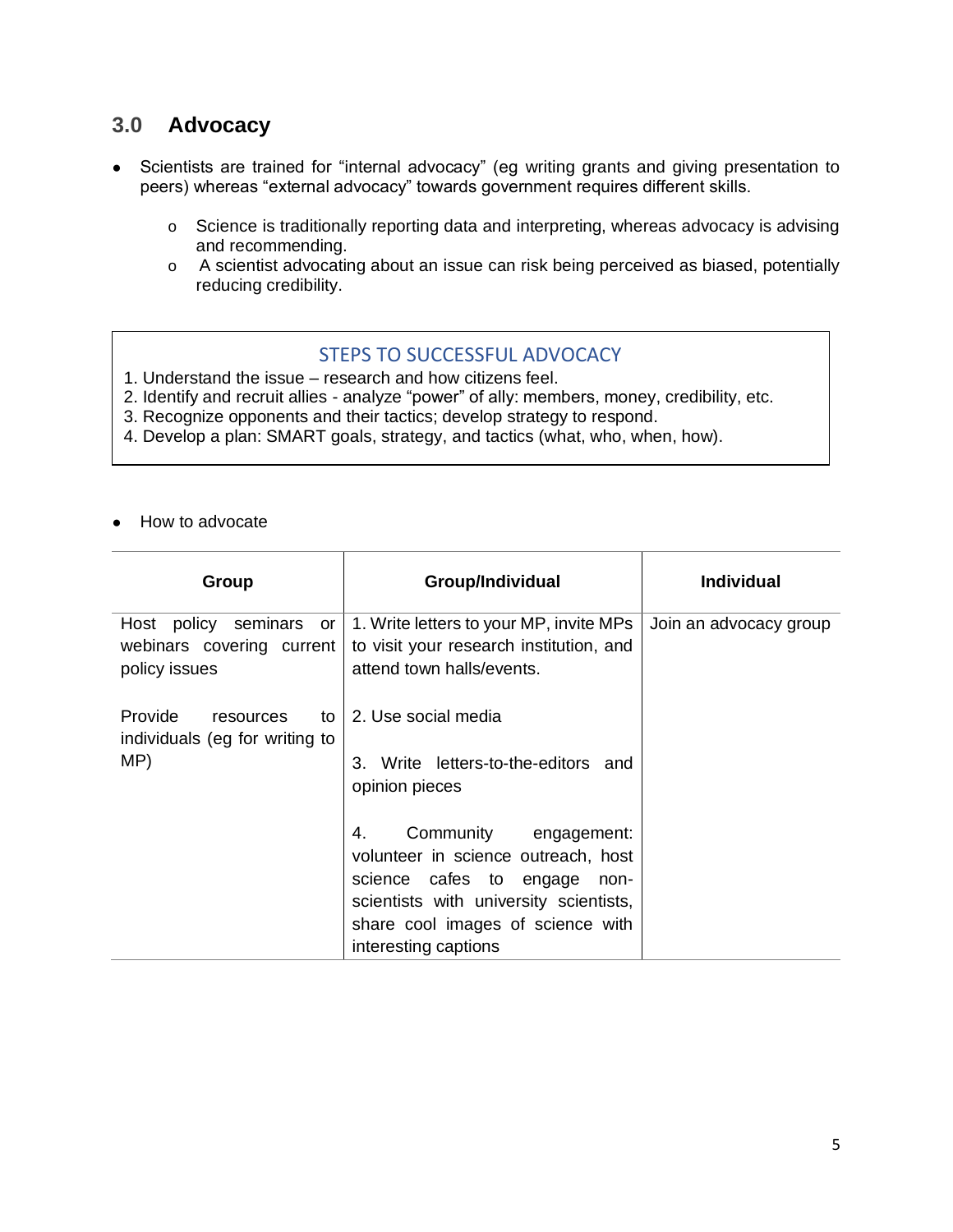## **3.0 Advocacy**

- Scientists are trained for "internal advocacy" (eg writing grants and giving presentation to peers) whereas "external advocacy" towards government requires different skills.
	- o Science is traditionally reporting data and interpreting, whereas advocacy is advising and recommending.
	- o A scientist advocating about an issue can risk being perceived as biased, potentially reducing credibility.

## STEPS TO SUCCESSFUL ADVOCACY

- 1. Understand the issue research and how citizens feel.
- 2. Identify and recruit allies analyze "power" of ally: members, money, credibility, etc.
- 3. Recognize opponents and their tactics; develop strategy to respond.
- 4. Develop a plan: SMART goals, strategy, and tactics (what, who, when, how).
- How to advocate

| Group                                                                    | Group/Individual                                                                                                                                                                                             | <b>Individual</b>      |
|--------------------------------------------------------------------------|--------------------------------------------------------------------------------------------------------------------------------------------------------------------------------------------------------------|------------------------|
| Host policy<br>seminars or<br>webinars covering current<br>policy issues | 1. Write letters to your MP, invite MPs<br>to visit your research institution, and<br>attend town halls/events.                                                                                              | Join an advocacy group |
| Provide<br>resources<br>to<br>individuals (eg for writing to<br>MP)      | 2. Use social media<br>Write letters-to-the-editors and<br>3.<br>opinion pieces                                                                                                                              |                        |
|                                                                          | Community engagement:<br>4.<br>volunteer in science outreach, host<br>science cafes to engage<br>non-<br>scientists with university scientists,<br>share cool images of science with<br>interesting captions |                        |